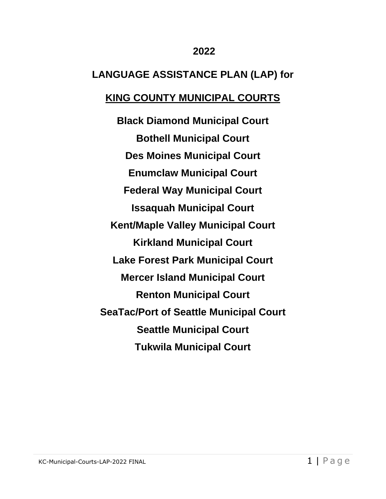## **2022**

# **LANGUAGE ASSISTANCE PLAN (LAP) for**

# **KING COUNTY MUNICIPAL COURTS**

**Black Diamond Municipal Court Bothell Municipal Court Des Moines Municipal Court Enumclaw Municipal Court Federal Way Municipal Court Issaquah Municipal Court Kent/Maple Valley Municipal Court Kirkland Municipal Court Lake Forest Park Municipal Court Mercer Island Municipal Court Renton Municipal Court SeaTac/Port of Seattle Municipal Court Seattle Municipal Court Tukwila Municipal Court**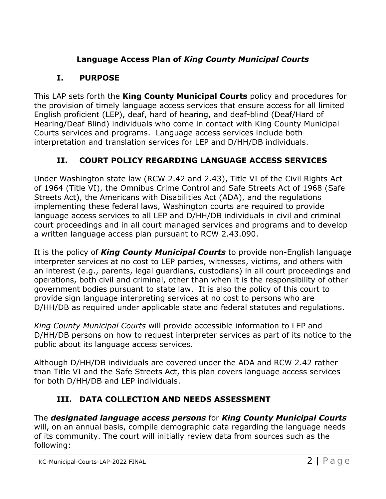# **Language Access Plan of** *King County Municipal Courts*

# **I. PURPOSE**

This LAP sets forth the **King County Municipal Courts** policy and procedures for the provision of timely language access services that ensure access for all limited English proficient (LEP), deaf, hard of hearing, and deaf-blind (Deaf/Hard of Hearing/Deaf Blind) individuals who come in contact with King County Municipal Courts services and programs. Language access services include both interpretation and translation services for LEP and D/HH/DB individuals.

# **II. COURT POLICY REGARDING LANGUAGE ACCESS SERVICES**

Under Washington state law (RCW 2.42 and 2.43), Title VI of the Civil Rights Act of 1964 (Title VI), the Omnibus Crime Control and Safe Streets Act of 1968 (Safe Streets Act), the Americans with Disabilities Act (ADA), and the regulations implementing these federal laws, Washington courts are required to provide language access services to all LEP and D/HH/DB individuals in civil and criminal court proceedings and in all court managed services and programs and to develop a written language access plan pursuant to RCW 2.43.090.

It is the policy of *King County Municipal Courts* to provide non-English language interpreter services at no cost to LEP parties, witnesses, victims, and others with an interest (e.g., parents, legal guardians, custodians) in all court proceedings and operations, both civil and criminal, other than when it is the responsibility of other government bodies pursuant to state law. It is also the policy of this court to provide sign language interpreting services at no cost to persons who are D/HH/DB as required under applicable state and federal statutes and regulations.

*King County Municipal Courts* will provide accessible information to LEP and D/HH/DB persons on how to request interpreter services as part of its notice to the public about its language access services.

Although D/HH/DB individuals are covered under the ADA and RCW 2.42 rather than Title VI and the Safe Streets Act, this plan covers language access services for both D/HH/DB and LEP individuals.

# **III. DATA COLLECTION AND NEEDS ASSESSMENT**

The *designated language access persons* for *King County Municipal Courts* will, on an annual basis, compile demographic data regarding the language needs of its community. The court will initially review data from sources such as the following: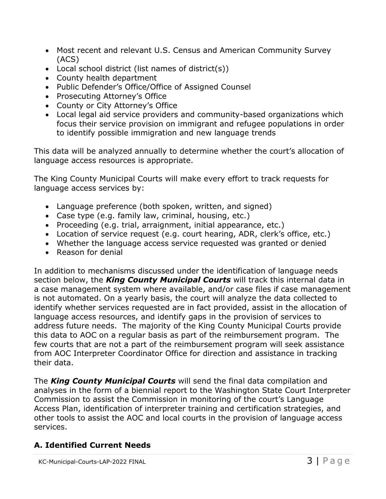- Most recent and relevant U.S. Census and American Community Survey (ACS)
- Local school district (list names of district(s))
- County health department
- Public Defender's Office/Office of Assigned Counsel
- Prosecuting Attorney's Office
- County or City Attorney's Office
- Local legal aid service providers and community-based organizations which focus their service provision on immigrant and refugee populations in order to identify possible immigration and new language trends

This data will be analyzed annually to determine whether the court's allocation of language access resources is appropriate.

The King County Municipal Courts will make every effort to track requests for language access services by:

- Language preference (both spoken, written, and signed)
- Case type (e.g. family law, criminal, housing, etc.)
- Proceeding (e.g. trial, arraignment, initial appearance, etc.)
- Location of service request (e.g. court hearing, ADR, clerk's office, etc.)
- Whether the language access service requested was granted or denied
- Reason for denial

In addition to mechanisms discussed under the identification of language needs section below, the *King County Municipal Courts* will track this internal data in a case management system where available, and/or case files if case management is not automated. On a yearly basis, the court will analyze the data collected to identify whether services requested are in fact provided, assist in the allocation of language access resources, and identify gaps in the provision of services to address future needs. The majority of the King County Municipal Courts provide this data to AOC on a regular basis as part of the reimbursement program. The few courts that are not a part of the reimbursement program will seek assistance from AOC Interpreter Coordinator Office for direction and assistance in tracking their data.

The *King County Municipal Courts* will send the final data compilation and analyses in the form of a biennial report to the Washington State Court Interpreter Commission to assist the Commission in monitoring of the court's Language Access Plan, identification of interpreter training and certification strategies, and other tools to assist the AOC and local courts in the provision of language access services.

## **A. Identified Current Needs**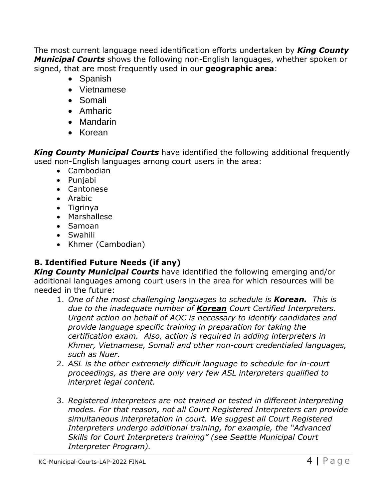The most current language need identification efforts undertaken by *King County Municipal Courts* shows the following non-English languages, whether spoken or signed, that are most frequently used in our **geographic area**:

- Spanish
- Vietnamese
- Somali
- Amharic
- Mandarin
- Korean

*King County Municipal Courts* have identified the following additional frequently used non-English languages among court users in the area:

- Cambodian
- Punjabi
- Cantonese
- Arabic
- Tigrinya
- Marshallese
- Samoan
- Swahili
- Khmer (Cambodian)

# **B. Identified Future Needs (if any)**

*King County Municipal Courts* have identified the following emerging and/or additional languages among court users in the area for which resources will be needed in the future:

- 1. *One of the most challenging languages to schedule is Korean. This is due to the inadequate number of Korean Court Certified Interpreters. Urgent action on behalf of AOC is necessary to identify candidates and provide language specific training in preparation for taking the certification exam. Also, action is required in adding interpreters in Khmer, Vietnamese, Somali and other non-court credentialed languages, such as Nuer.*
- 2. *ASL is the other extremely difficult language to schedule for in-court proceedings, as there are only very few ASL interpreters qualified to interpret legal content.*
- 3. *Registered interpreters are not trained or tested in different interpreting modes. For that reason, not all Court Registered Interpreters can provide simultaneous interpretation in court. We suggest all Court Registered Interpreters undergo additional training, for example, the "Advanced Skills for Court Interpreters training" (see Seattle Municipal Court Interpreter Program).*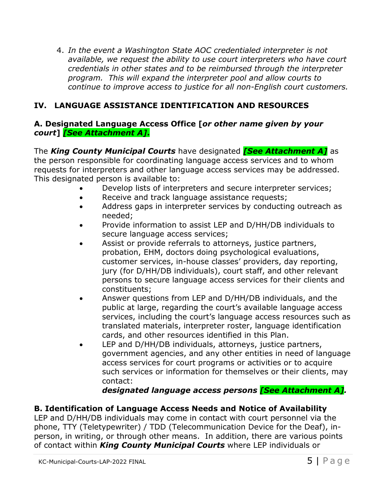4. *In the event a Washington State AOC credentialed interpreter is not available, we request the ability to use court interpreters who have court credentials in other states and to be reimbursed through the interpreter program. This will expand the interpreter pool and allow courts to continue to improve access to justice for all non-English court customers.*

## **IV. LANGUAGE ASSISTANCE IDENTIFICATION AND RESOURCES**

#### **A. Designated Language Access Office [***or other name given by your court***]** *[See Attachment A]***.**

The *King County Municipal Courts* have designated *[See Attachment A]* as the person responsible for coordinating language access services and to whom requests for interpreters and other language access services may be addressed. This designated person is available to:

- Develop lists of interpreters and secure interpreter services;
- Receive and track language assistance requests;
- Address gaps in interpreter services by conducting outreach as needed;
- Provide information to assist LEP and D/HH/DB individuals to secure language access services;
- Assist or provide referrals to attorneys, justice partners, probation, EHM, doctors doing psychological evaluations, customer services, in-house classes' providers, day reporting, jury (for D/HH/DB individuals), court staff, and other relevant persons to secure language access services for their clients and constituents;
- Answer questions from LEP and D/HH/DB individuals, and the public at large, regarding the court's available language access services, including the court's language access resources such as translated materials, interpreter roster, language identification cards, and other resources identified in this Plan.
- LEP and D/HH/DB individuals, attorneys, justice partners, government agencies, and any other entities in need of language access services for court programs or activities or to acquire such services or information for themselves or their clients, may contact:

*designated language access persons [See Attachment A].*

## **B. Identification of Language Access Needs and Notice of Availability**

LEP and D/HH/DB individuals may come in contact with court personnel via the phone, TTY (Teletypewriter) / TDD (Telecommunication Device for the Deaf), inperson, in writing, or through other means. In addition, there are various points of contact within *King County Municipal Courts* where LEP individuals or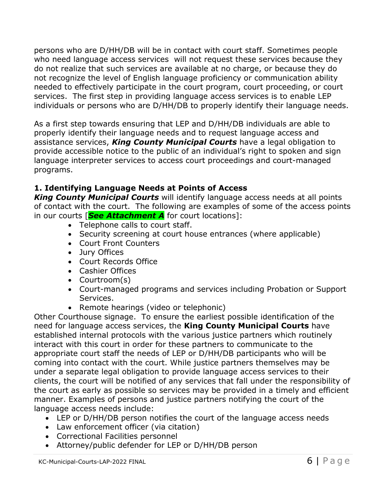persons who are D/HH/DB will be in contact with court staff. Sometimes people who need language access services will not request these services because they do not realize that such services are available at no charge, or because they do not recognize the level of English language proficiency or communication ability needed to effectively participate in the court program, court proceeding, or court services. The first step in providing language access services is to enable LEP individuals or persons who are D/HH/DB to properly identify their language needs.

As a first step towards ensuring that LEP and D/HH/DB individuals are able to properly identify their language needs and to request language access and assistance services, *King County Municipal Courts* have a legal obligation to provide accessible notice to the public of an individual's right to spoken and sign language interpreter services to access court proceedings and court-managed programs.

## **1. Identifying Language Needs at Points of Access**

*King County Municipal Courts* will identify language access needs at all points of contact with the court. The following are examples of some of the access points in our courts [*See Attachment A* for court locations]:

- Telephone calls to court staff.
- Security screening at court house entrances (where applicable)
- Court Front Counters
- Jury Offices
- Court Records Office
- Cashier Offices
- Courtroom(s)
- Court-managed programs and services including Probation or Support Services.
- Remote hearings (video or telephonic)

Other Courthouse signage. To ensure the earliest possible identification of the need for language access services, the **King County Municipal Courts** have established internal protocols with the various justice partners which routinely interact with this court in order for these partners to communicate to the appropriate court staff the needs of LEP or D/HH/DB participants who will be coming into contact with the court. While justice partners themselves may be under a separate legal obligation to provide language access services to their clients, the court will be notified of any services that fall under the responsibility of the court as early as possible so services may be provided in a timely and efficient manner. Examples of persons and justice partners notifying the court of the language access needs include:

- LEP or D/HH/DB person notifies the court of the language access needs
- Law enforcement officer (via citation)
- Correctional Facilities personnel
- Attorney/public defender for LEP or D/HH/DB person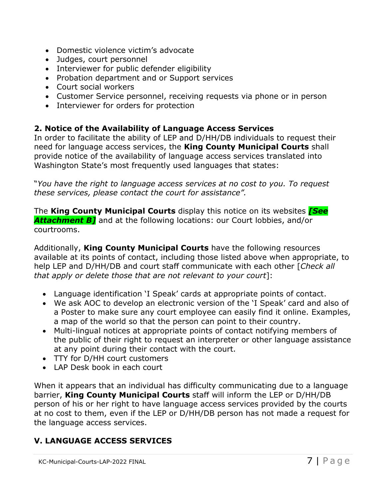- Domestic violence victim's advocate
- Judges, court personnel
- Interviewer for public defender eligibility
- Probation department and or Support services
- Court social workers
- Customer Service personnel, receiving requests via phone or in person
- Interviewer for orders for protection

### **2. Notice of the Availability of Language Access Services**

In order to facilitate the ability of LEP and D/HH/DB individuals to request their need for language access services, the **King County Municipal Courts** shall provide notice of the availability of language access services translated into Washington State's most frequently used languages that states:

"*You have the right to language access services at no cost to you. To request these services, please contact the court for assistance".*

The **King County Municipal Courts** display this notice on its websites *[See Attachment B]* and at the following locations: our Court lobbies, and/or courtrooms.

Additionally, **King County Municipal Courts** have the following resources available at its points of contact, including those listed above when appropriate, to help LEP and D/HH/DB and court staff communicate with each other [*Check all that apply or delete those that are not relevant to your court*]:

- Language identification 'I Speak' cards at appropriate points of contact.
- We ask AOC to develop an electronic version of the 'I Speak' card and also of a Poster to make sure any court employee can easily find it online. Examples, a map of the world so that the person can point to their country.
- Multi-lingual notices at appropriate points of contact notifying members of the public of their right to request an interpreter or other language assistance at any point during their contact with the court.
- TTY for D/HH court customers
- LAP Desk book in each court

When it appears that an individual has difficulty communicating due to a language barrier, **King County Municipal Courts** staff will inform the LEP or D/HH/DB person of his or her right to have language access services provided by the courts at no cost to them, even if the LEP or D/HH/DB person has not made a request for the language access services.

# **V. LANGUAGE ACCESS SERVICES**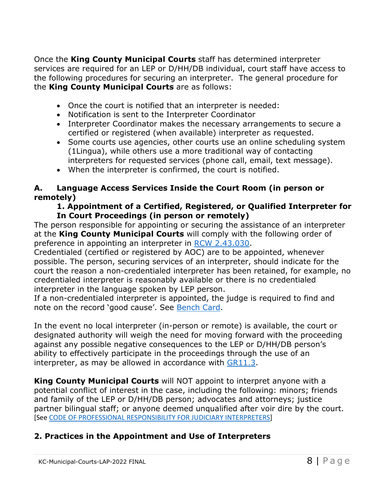Once the **King County Municipal Courts** staff has determined interpreter services are required for an LEP or D/HH/DB individual, court staff have access to the following procedures for securing an interpreter. The general procedure for the **King County Municipal Courts** are as follows:

- Once the court is notified that an interpreter is needed:
- Notification is sent to the Interpreter Coordinator
- Interpreter Coordinator makes the necessary arrangements to secure a certified or registered (when available) interpreter as requested.
- Some courts use agencies, other courts use an online scheduling system (1Lingua), while others use a more traditional way of contacting interpreters for requested services (phone call, email, text message).
- When the interpreter is confirmed, the court is notified.

#### **A. Language Access Services Inside the Court Room (in person or remotely)**

#### **1. Appointment of a Certified, Registered, or Qualified Interpreter for In Court Proceedings (in person or remotely)**

The person responsible for appointing or securing the assistance of an interpreter at the **King County Municipal Courts** will comply with the following order of preference in appointing an interpreter in RCW 2.43.030.

Credentialed (certified or registered by AOC) are to be appointed, whenever possible. The person, securing services of an interpreter, should indicate for the court the reason a non-credentialed interpreter has been retained, for example, no credentialed interpreter is reasonably available or there is no credentialed interpreter in the language spoken by LEP person.

If a non-credentialed interpreter is appointed, the judge is required to find and note on the record 'good cause'. See Bench Card.

In the event no local interpreter (in-person or remote) is available, the court or designated authority will weigh the need for moving forward with the proceeding against any possible negative consequences to the LEP or D/HH/DB person's ability to effectively participate in the proceedings through the use of an interpreter, as may be allowed in accordance with  $GR11.3$ .

**King County Municipal Courts** will NOT appoint to interpret anyone with a potential conflict of interest in the case, including the following: minors; friends and family of the LEP or D/HH/DB person; advocates and attorneys; justice partner bilingual staff; or anyone deemed unqualified after voir dire by the court. [See CODE OF PROFESSIONAL RESPONSIBILITY FOR JUDICIARY INTERPRETERS]

### **2. Practices in the Appointment and Use of Interpreters**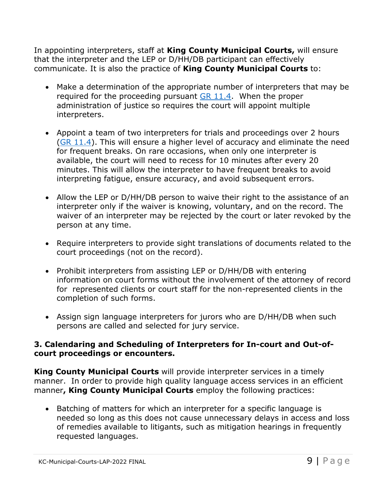In appointing interpreters, staff at **King County Municipal Courts,** will ensure that the interpreter and the LEP or D/HH/DB participant can effectively communicate. It is also the practice of **King County Municipal Courts** to:

- Make a determination of the appropriate number of interpreters that may be required for the proceeding pursuant GR 11.4. When the proper administration of justice so requires the court will appoint multiple interpreters.
- Appoint a team of two interpreters for trials and proceedings over 2 hours (GR 11.4). This will ensure a higher level of accuracy and eliminate the need for frequent breaks. On rare occasions, when only one interpreter is available, the court will need to recess for 10 minutes after every 20 minutes. This will allow the interpreter to have frequent breaks to avoid interpreting fatigue, ensure accuracy, and avoid subsequent errors.
- Allow the LEP or D/HH/DB person to waive their right to the assistance of an interpreter only if the waiver is knowing, voluntary, and on the record. The waiver of an interpreter may be rejected by the court or later revoked by the person at any time.
- Require interpreters to provide sight translations of documents related to the court proceedings (not on the record).
- Prohibit interpreters from assisting LEP or D/HH/DB with entering information on court forms without the involvement of the attorney of record for represented clients or court staff for the non-represented clients in the completion of such forms.
- Assign sign language interpreters for jurors who are D/HH/DB when such persons are called and selected for jury service.

#### **3. Calendaring and Scheduling of Interpreters for In-court and Out-ofcourt proceedings or encounters.**

**King County Municipal Courts** will provide interpreter services in a timely manner. In order to provide high quality language access services in an efficient manner**, King County Municipal Courts** employ the following practices:

• Batching of matters for which an interpreter for a specific language is needed so long as this does not cause unnecessary delays in access and loss of remedies available to litigants, such as mitigation hearings in frequently requested languages.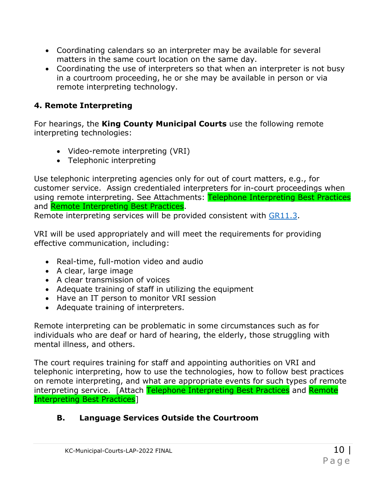- Coordinating calendars so an interpreter may be available for several matters in the same court location on the same day.
- Coordinating the use of interpreters so that when an interpreter is not busy in a courtroom proceeding, he or she may be available in person or via remote interpreting technology.

## **4. Remote Interpreting**

For hearings, the **King County Municipal Courts** use the following remote interpreting technologies:

- Video-remote interpreting (VRI)
- Telephonic interpreting

Use telephonic interpreting agencies only for out of court matters, e.g., for customer service. Assign credentialed interpreters for in-court proceedings when using remote interpreting. See Attachments: Telephone Interpreting Best Practices and Remote Interpreting Best Practices.

Remote interpreting services will be provided consistent with GR11.3.

VRI will be used appropriately and will meet the requirements for providing effective communication, including:

- Real-time, full-motion video and audio
- A clear, large image
- A clear transmission of voices
- Adequate training of staff in utilizing the equipment
- Have an IT person to monitor VRI session
- Adequate training of interpreters.

Remote interpreting can be problematic in some circumstances such as for individuals who are deaf or hard of hearing, the elderly, those struggling with mental illness, and others.

The court requires training for staff and appointing authorities on VRI and telephonic interpreting, how to use the technologies, how to follow best practices on remote interpreting, and what are appropriate events for such types of remote interpreting service. [Attach Telephone Interpreting Best Practices and Remote Interpreting Best Practices]

# **B. Language Services Outside the Courtroom**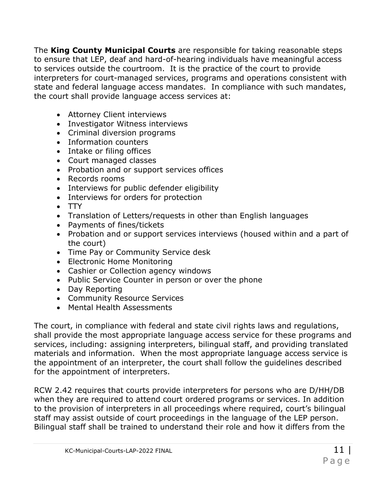The **King County Municipal Courts** are responsible for taking reasonable steps to ensure that LEP, deaf and hard-of-hearing individuals have meaningful access to services outside the courtroom. It is the practice of the court to provide interpreters for court-managed services, programs and operations consistent with state and federal language access mandates. In compliance with such mandates, the court shall provide language access services at:

- Attorney Client interviews
- Investigator Witness interviews
- Criminal diversion programs
- Information counters
- Intake or filing offices
- Court managed classes
- Probation and or support services offices
- Records rooms
- Interviews for public defender eligibility
- Interviews for orders for protection
- $\bullet$  TTY
- Translation of Letters/requests in other than English languages
- Payments of fines/tickets
- Probation and or support services interviews (housed within and a part of the court)
- Time Pay or Community Service desk
- Electronic Home Monitoring
- Cashier or Collection agency windows
- Public Service Counter in person or over the phone
- Day Reporting
- Community Resource Services
- Mental Health Assessments

The court, in compliance with federal and state civil rights laws and regulations, shall provide the most appropriate language access service for these programs and services, including: assigning interpreters, bilingual staff, and providing translated materials and information. When the most appropriate language access service is the appointment of an interpreter, the court shall follow the guidelines described for the appointment of interpreters.

RCW 2.42 requires that courts provide interpreters for persons who are D/HH/DB when they are required to attend court ordered programs or services. In addition to the provision of interpreters in all proceedings where required, court's bilingual staff may assist outside of court proceedings in the language of the LEP person. Bilingual staff shall be trained to understand their role and how it differs from the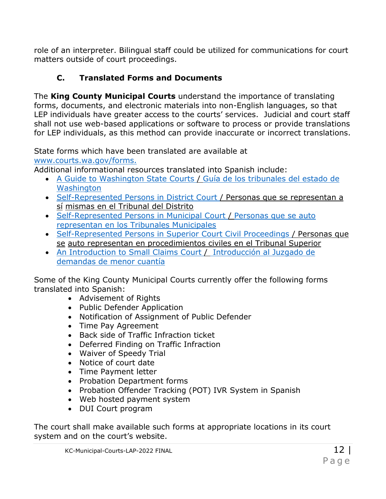role of an interpreter. Bilingual staff could be utilized for communications for court matters outside of court proceedings.

# **C. Translated Forms and Documents**

The **King County Municipal Courts** understand the importance of translating forms, documents, and electronic materials into non-English languages, so that LEP individuals have greater access to the courts' services. Judicial and court staff shall not use web-based applications or software to process or provide translations for LEP individuals, as this method can provide inaccurate or incorrect translations.

State forms which have been translated are available at www.courts.wa.gov/forms.

Additional informational resources translated into Spanish include:

- A Guide to Washington State Courts / Guía de los tribunales del estado de **Washington**
- Self-Represented Persons in District Court / Personas que se representan a sí mismas en el Tribunal del Distrito
- Self-Represented Persons in Municipal Court / Personas que se auto representan en los Tribunales Municipales
- Self-Represented Persons in Superior Court Civil Proceedings / Personas que se auto representan en procedimientos civiles en el Tribunal Superior
- An Introduction to Small Claims Court / Introducción al Juzgado de demandas de menor cuantía

Some of the King County Municipal Courts currently offer the following forms translated into Spanish:

- Advisement of Rights
- Public Defender Application
- Notification of Assignment of Public Defender
- Time Pay Agreement
- Back side of Traffic Infraction ticket
- Deferred Finding on Traffic Infraction
- Waiver of Speedy Trial
- Notice of court date
- Time Payment letter
- Probation Department forms
- Probation Offender Tracking (POT) IVR System in Spanish
- Web hosted payment system
- DUI Court program

The court shall make available such forms at appropriate locations in its court system and on the court's website.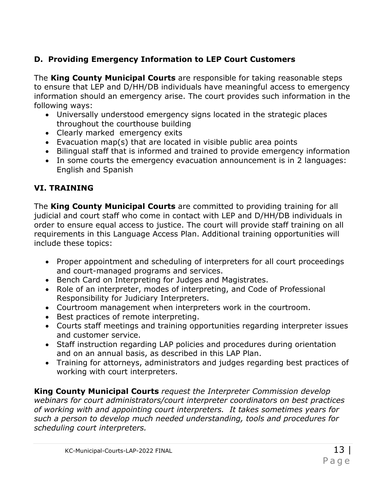# **D. Providing Emergency Information to LEP Court Customers**

The **King County Municipal Courts** are responsible for taking reasonable steps to ensure that LEP and D/HH/DB individuals have meaningful access to emergency information should an emergency arise. The court provides such information in the following ways:

- Universally understood emergency signs located in the strategic places throughout the courthouse building
- Clearly marked emergency exits
- Evacuation map(s) that are located in visible public area points
- Bilingual staff that is informed and trained to provide emergency information
- In some courts the emergency evacuation announcement is in 2 languages: English and Spanish

# **VI. TRAINING**

The **King County Municipal Courts** are committed to providing training for all judicial and court staff who come in contact with LEP and D/HH/DB individuals in order to ensure equal access to justice. The court will provide staff training on all requirements in this Language Access Plan. Additional training opportunities will include these topics:

- Proper appointment and scheduling of interpreters for all court proceedings and court-managed programs and services.
- Bench Card on Interpreting for Judges and Magistrates.
- Role of an interpreter, modes of interpreting, and Code of Professional Responsibility for Judiciary Interpreters.
- Courtroom management when interpreters work in the courtroom.
- Best practices of remote interpreting.
- Courts staff meetings and training opportunities regarding interpreter issues and customer service.
- Staff instruction regarding LAP policies and procedures during orientation and on an annual basis, as described in this LAP Plan.
- Training for attorneys, administrators and judges regarding best practices of working with court interpreters.

**King County Municipal Courts** *request the Interpreter Commission develop webinars for court administrators/court interpreter coordinators on best practices of working with and appointing court interpreters. It takes sometimes years for such a person to develop much needed understanding, tools and procedures for scheduling court interpreters.*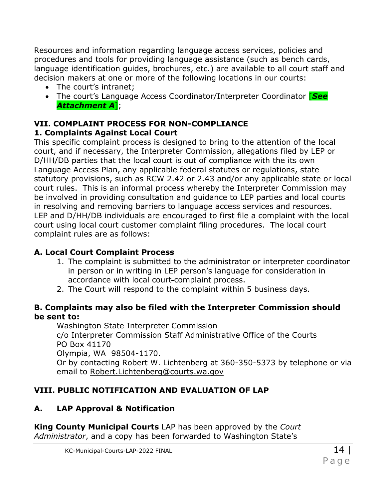Resources and information regarding language access services, policies and procedures and tools for providing language assistance (such as bench cards, language identification guides, brochures, etc.) are available to all court staff and decision makers at one or more of the following locations in our courts:

- The court's intranet:
- The court's Language Access Coordinator/Interpreter Coordinator [*See Attachment A*];

#### **VII. COMPLAINT PROCESS FOR NON-COMPLIANCE 1. Complaints Against Local Court**

This specific complaint process is designed to bring to the attention of the local court, and if necessary, the Interpreter Commission, allegations filed by LEP or D/HH/DB parties that the local court is out of compliance with the its own Language Access Plan, any applicable federal statutes or regulations, state statutory provisions, such as RCW 2.42 or 2.43 and/or any applicable state or local court rules. This is an informal process whereby the Interpreter Commission may be involved in providing consultation and guidance to LEP parties and local courts in resolving and removing barriers to language access services and resources. LEP and D/HH/DB individuals are encouraged to first file a complaint with the local court using local court customer complaint filing procedures. The local court complaint rules are as follows:

## **A. Local Court Complaint Process**

- 1. The complaint is submitted to the administrator or interpreter coordinator in person or in writing in LEP person's language for consideration in accordance with local court-complaint process.
- 2. The Court will respond to the complaint within 5 business days.

### **B. Complaints may also be filed with the Interpreter Commission should be sent to:**

Washington State Interpreter Commission c/o Interpreter Commission Staff Administrative Office of the Courts PO Box 41170 Olympia, WA 98504-1170. Or by contacting Robert W. Lichtenberg at 360-350-5373 by telephone or via email to Robert.Lichtenberg@courts.wa.gov

# **VIII. PUBLIC NOTIFICATION AND EVALUATION OF LAP**

# **A. LAP Approval & Notification**

**King County Municipal Courts** LAP has been approved by the *Court Administrator*, and a copy has been forwarded to Washington State's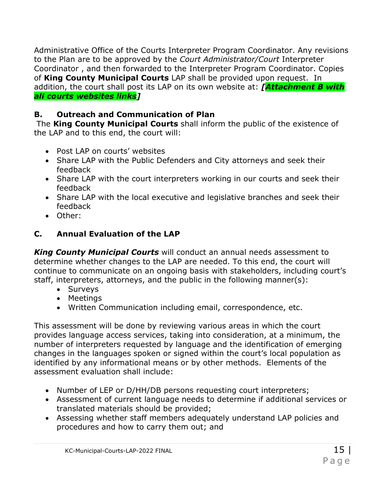Administrative Office of the Courts Interpreter Program Coordinator. Any revisions to the Plan are to be approved by the *Court Administrator/Court* Interpreter Coordinator , and then forwarded to the Interpreter Program Coordinator. Copies of **King County Municipal Courts** LAP shall be provided upon request. In addition, the court shall post its LAP on its own website at: *[Attachment B with all courts websites links]*

# **B. Outreach and Communication of Plan**

The **King County Municipal Courts** shall inform the public of the existence of the LAP and to this end, the court will:

- Post LAP on courts' websites
- Share LAP with the Public Defenders and City attorneys and seek their feedback
- Share LAP with the court interpreters working in our courts and seek their feedback
- Share LAP with the local executive and legislative branches and seek their feedback
- Other:

# **C. Annual Evaluation of the LAP**

*King County Municipal Courts* will conduct an annual needs assessment to determine whether changes to the LAP are needed. To this end, the court will continue to communicate on an ongoing basis with stakeholders, including court's staff, interpreters, attorneys, and the public in the following manner(s):

- Surveys
- Meetings
- Written Communication including email, correspondence, etc.

This assessment will be done by reviewing various areas in which the court provides language access services, taking into consideration, at a minimum, the number of interpreters requested by language and the identification of emerging changes in the languages spoken or signed within the court's local population as identified by any informational means or by other methods. Elements of the assessment evaluation shall include:

- Number of LEP or D/HH/DB persons requesting court interpreters;
- Assessment of current language needs to determine if additional services or translated materials should be provided;
- Assessing whether staff members adequately understand LAP policies and procedures and how to carry them out; and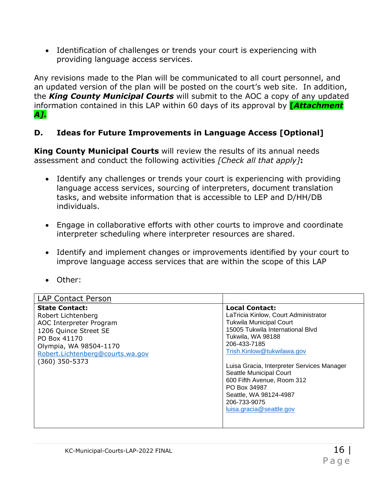Identification of challenges or trends your court is experiencing with providing language access services.

Any revisions made to the Plan will be communicated to all court personnel, and an updated version of the plan will be posted on the court's web site. In addition, the *King County Municipal Courts* will submit to the AOC a copy of any updated information contained in this LAP within 60 days of its approval by **[***Attachment A].*

## **D. Ideas for Future Improvements in Language Access [Optional]**

**King County Municipal Courts** will review the results of its annual needs assessment and conduct the following activities *[Check all that apply]***:**

- Identify any challenges or trends your court is experiencing with providing language access services, sourcing of interpreters, document translation tasks, and website information that is accessible to LEP and D/HH/DB individuals.
- Engage in collaborative efforts with other courts to improve and coordinate interpreter scheduling where interpreter resources are shared.
- Identify and implement changes or improvements identified by your court to improve language access services that are within the scope of this LAP
- Other:

| <b>LAP Contact Person</b>                                                                                                                                                                       |                                                                                                                                                                                                                                                                                                                                                                                                     |
|-------------------------------------------------------------------------------------------------------------------------------------------------------------------------------------------------|-----------------------------------------------------------------------------------------------------------------------------------------------------------------------------------------------------------------------------------------------------------------------------------------------------------------------------------------------------------------------------------------------------|
| <b>State Contact:</b><br>Robert Lichtenberg<br>AOC Interpreter Program<br>1206 Quince Street SE<br>PO Box 41170<br>Olympia, WA 98504-1170<br>Robert.Lichtenberg@courts.wa.gov<br>(360) 350-5373 | <b>Local Contact:</b><br>LaTricia Kinlow, Court Administrator<br><b>Tukwila Municipal Court</b><br>15005 Tukwila International Blvd<br>Tukwila, WA 98188<br>206-433-7185<br>Trish.Kinlow@tukwilawa.gov<br>Luisa Gracia, Interpreter Services Manager<br>Seattle Municipal Court<br>600 Fifth Avenue, Room 312<br>PO Box 34987<br>Seattle, WA 98124-4987<br>206-733-9075<br>luisa.gracia@seattle.gov |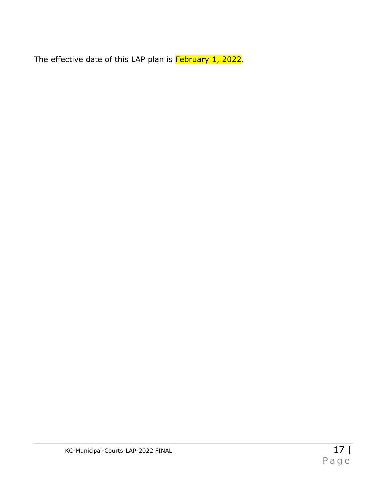The effective date of this LAP plan is February 1, 2022.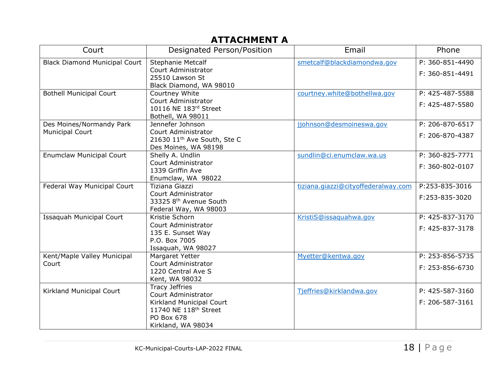# **ATTACHMENT A**

| Phone           |
|-----------------|
| P: 360-851-4490 |
| F: 360-851-4491 |
|                 |
|                 |
| P: 425-487-5588 |
| F: 425-487-5580 |
|                 |
| P: 206-870-6517 |
|                 |
| F: 206-870-4387 |
|                 |
| P: 360-825-7771 |
|                 |
| F: 360-802-0107 |
|                 |
| P:253-835-3016  |
| F:253-835-3020  |
|                 |
|                 |
| P: 425-837-3170 |
| F: 425-837-3178 |
|                 |
|                 |
|                 |
| P: 253-856-5735 |
| F: 253-856-6730 |
|                 |
|                 |
| P: 425-587-3160 |
| F: 206-587-3161 |
|                 |
|                 |
|                 |
|                 |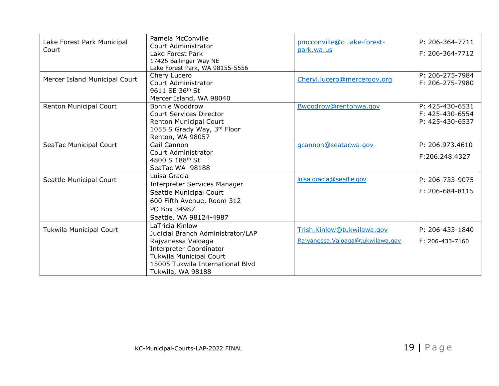| Lake Forest Park Municipal    | Pamela McConville<br>Court Administrator | pmcconville@ci.lake-forest-       | P: 206-364-7711 |
|-------------------------------|------------------------------------------|-----------------------------------|-----------------|
| Court                         | Lake Forest Park                         | park.wa.us                        | F: 206-364-7712 |
|                               | 17425 Ballinger Way NE                   |                                   |                 |
|                               | Lake Forest Park, WA 98155-5556          |                                   |                 |
| Mercer Island Municipal Court | Chery Lucero                             | Cheryl.lucero@mercergov.org       | P: 206-275-7984 |
|                               | Court Administrator                      |                                   | F: 206-275-7980 |
|                               | 9611 SE 36th St                          |                                   |                 |
|                               | Mercer Island, WA 98040                  |                                   |                 |
| Renton Municipal Court        | Bonnie Woodrow                           | Bwoodrow@rentonwa.gov             | P: 425-430-6531 |
|                               | <b>Court Services Director</b>           |                                   | F: 425-430-6554 |
|                               | <b>Renton Municipal Court</b>            |                                   | P: 425-430-6537 |
|                               | 1055 S Grady Way, 3rd Floor              |                                   |                 |
|                               | Renton, WA 98057                         |                                   |                 |
| SeaTac Municipal Court        | Gail Cannon                              | gcannon@seatacwa.gov              | P: 206.973.4610 |
|                               | Court Administrator                      |                                   | F:206.248.4327  |
|                               | 4800 S 188 <sup>th</sup> St              |                                   |                 |
|                               | SeaTac WA 98188                          |                                   |                 |
| Seattle Municipal Court       | Luisa Gracia                             | luisa.gracia@seattle.gov          | P: 206-733-9075 |
|                               | <b>Interpreter Services Manager</b>      |                                   |                 |
|                               | Seattle Municipal Court                  |                                   | F: 206-684-8115 |
|                               | 600 Fifth Avenue, Room 312               |                                   |                 |
|                               | PO Box 34987                             |                                   |                 |
|                               | Seattle, WA 98124-4987                   |                                   |                 |
| Tukwila Municipal Court       | LaTricia Kinlow                          | Trish.Kinlow@tukwilawa.gov        | P: 206-433-1840 |
|                               | Judicial Branch Administrator/LAP        |                                   |                 |
|                               | Rajyanessa Valoaga                       | Rajyanessa. Valoaga@tukwilawa.gov | F: 206-433-7160 |
|                               | <b>Interpreter Coordinator</b>           |                                   |                 |
|                               | Tukwila Municipal Court                  |                                   |                 |
|                               | 15005 Tukwila International Blyd         |                                   |                 |
|                               | Tukwila, WA 98188                        |                                   |                 |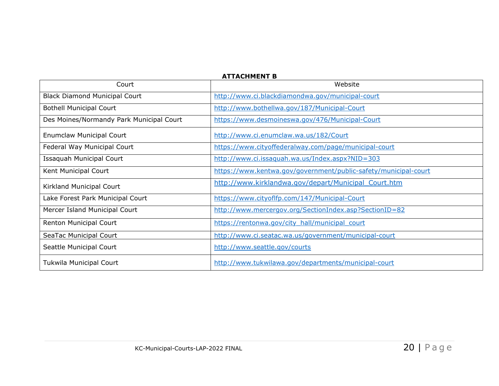| Court                                    | <b>ATTACHMENT B</b><br>Website                                  |
|------------------------------------------|-----------------------------------------------------------------|
| <b>Black Diamond Municipal Court</b>     | http://www.ci.blackdiamondwa.gov/municipal-court                |
| <b>Bothell Municipal Court</b>           | http://www.bothellwa.gov/187/Municipal-Court                    |
| Des Moines/Normandy Park Municipal Court | https://www.desmoineswa.gov/476/Municipal-Court                 |
| <b>Enumclaw Municipal Court</b>          | http://www.ci.enumclaw.wa.us/182/Court                          |
| Federal Way Municipal Court              | https://www.cityoffederalway.com/page/municipal-court           |
| Issaquah Municipal Court                 | http://www.ci.issaquah.wa.us/Index.aspx?NID=303                 |
| Kent Municipal Court                     | https://www.kentwa.gov/government/public-safety/municipal-court |
| Kirkland Municipal Court                 | http://www.kirklandwa.gov/depart/Municipal Court.htm            |
| Lake Forest Park Municipal Court         | https://www.cityoflfp.com/147/Municipal-Court                   |
| Mercer Island Municipal Court            | http://www.mercergov.org/SectionIndex.asp?SectionID=82          |
| Renton Municipal Court                   | https://rentonwa.gov/city_hall/municipal_court                  |
| SeaTac Municipal Court                   | http://www.ci.seatac.wa.us/government/municipal-court           |
| Seattle Municipal Court                  | http://www.seattle.gov/courts                                   |
| Tukwila Municipal Court                  | http://www.tukwilawa.gov/departments/municipal-court            |